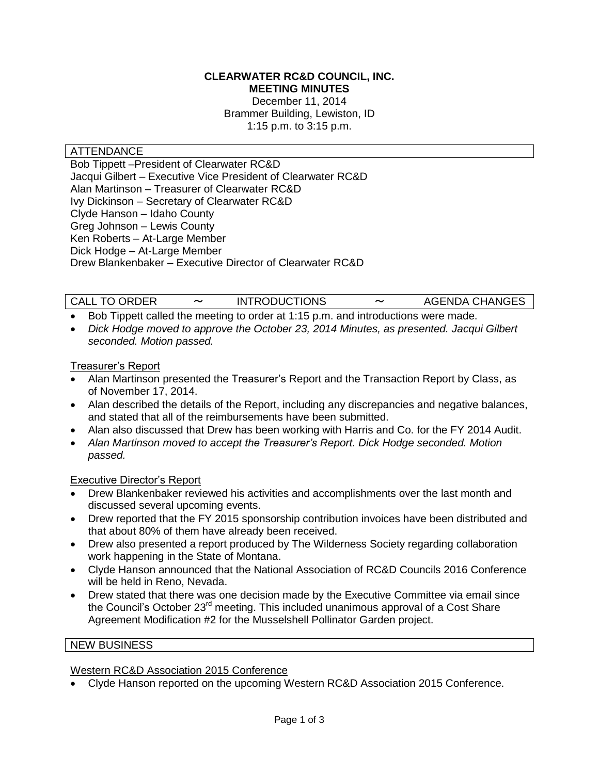#### **CLEARWATER RC&D COUNCIL, INC. MEETING MINUTES**

December 11, 2014 Brammer Building, Lewiston, ID 1:15 p.m. to 3:15 p.m.

# **ATTENDANCE**

Bob Tippett –President of Clearwater RC&D Jacqui Gilbert – Executive Vice President of Clearwater RC&D Alan Martinson – Treasurer of Clearwater RC&D Ivy Dickinson – Secretary of Clearwater RC&D Clyde Hanson – Idaho County Greg Johnson – Lewis County Ken Roberts – At-Large Member Dick Hodge – At-Large Member Drew Blankenbaker – Executive Director of Clearwater RC&D

CALL TO ORDER 〜 INTRODUCTIONS 〜 AGENDA CHANGES

- Bob Tippett called the meeting to order at 1:15 p.m. and introductions were made.
- *Dick Hodge moved to approve the October 23, 2014 Minutes, as presented. Jacqui Gilbert seconded. Motion passed.*

#### Treasurer's Report

- Alan Martinson presented the Treasurer's Report and the Transaction Report by Class, as of November 17, 2014.
- Alan described the details of the Report, including any discrepancies and negative balances, and stated that all of the reimbursements have been submitted.
- Alan also discussed that Drew has been working with Harris and Co. for the FY 2014 Audit.
- *Alan Martinson moved to accept the Treasurer's Report. Dick Hodge seconded. Motion passed.*

### Executive Director's Report

- Drew Blankenbaker reviewed his activities and accomplishments over the last month and discussed several upcoming events.
- Drew reported that the FY 2015 sponsorship contribution invoices have been distributed and that about 80% of them have already been received.
- Drew also presented a report produced by The Wilderness Society regarding collaboration work happening in the State of Montana.
- Clyde Hanson announced that the National Association of RC&D Councils 2016 Conference will be held in Reno, Nevada.
- Drew stated that there was one decision made by the Executive Committee via email since the Council's October 23<sup>rd</sup> meeting. This included unanimous approval of a Cost Share Agreement Modification #2 for the Musselshell Pollinator Garden project.

#### NEW BUSINESS

### Western RC&D Association 2015 Conference

Clyde Hanson reported on the upcoming Western RC&D Association 2015 Conference.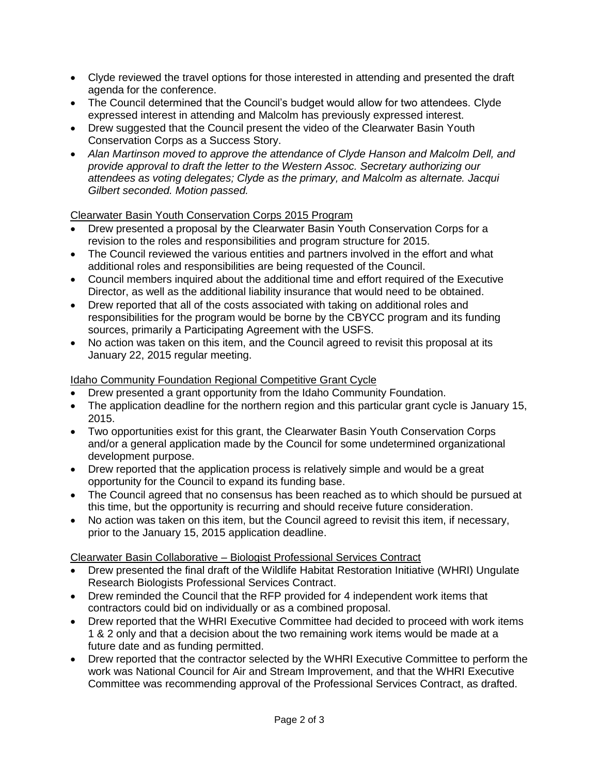- Clyde reviewed the travel options for those interested in attending and presented the draft agenda for the conference.
- The Council determined that the Council's budget would allow for two attendees. Clyde expressed interest in attending and Malcolm has previously expressed interest.
- Drew suggested that the Council present the video of the Clearwater Basin Youth Conservation Corps as a Success Story.
- *Alan Martinson moved to approve the attendance of Clyde Hanson and Malcolm Dell, and provide approval to draft the letter to the Western Assoc. Secretary authorizing our attendees as voting delegates; Clyde as the primary, and Malcolm as alternate. Jacqui Gilbert seconded. Motion passed.*

# Clearwater Basin Youth Conservation Corps 2015 Program

- Drew presented a proposal by the Clearwater Basin Youth Conservation Corps for a revision to the roles and responsibilities and program structure for 2015.
- The Council reviewed the various entities and partners involved in the effort and what additional roles and responsibilities are being requested of the Council.
- Council members inquired about the additional time and effort required of the Executive Director, as well as the additional liability insurance that would need to be obtained.
- Drew reported that all of the costs associated with taking on additional roles and responsibilities for the program would be borne by the CBYCC program and its funding sources, primarily a Participating Agreement with the USFS.
- No action was taken on this item, and the Council agreed to revisit this proposal at its January 22, 2015 regular meeting.

# Idaho Community Foundation Regional Competitive Grant Cycle

- Drew presented a grant opportunity from the Idaho Community Foundation.
- The application deadline for the northern region and this particular grant cycle is January 15, 2015.
- Two opportunities exist for this grant, the Clearwater Basin Youth Conservation Corps and/or a general application made by the Council for some undetermined organizational development purpose.
- Drew reported that the application process is relatively simple and would be a great opportunity for the Council to expand its funding base.
- The Council agreed that no consensus has been reached as to which should be pursued at this time, but the opportunity is recurring and should receive future consideration.
- No action was taken on this item, but the Council agreed to revisit this item, if necessary, prior to the January 15, 2015 application deadline.

# Clearwater Basin Collaborative – Biologist Professional Services Contract

- Drew presented the final draft of the Wildlife Habitat Restoration Initiative (WHRI) Ungulate Research Biologists Professional Services Contract.
- Drew reminded the Council that the RFP provided for 4 independent work items that contractors could bid on individually or as a combined proposal.
- Drew reported that the WHRI Executive Committee had decided to proceed with work items 1 & 2 only and that a decision about the two remaining work items would be made at a future date and as funding permitted.
- Drew reported that the contractor selected by the WHRI Executive Committee to perform the work was National Council for Air and Stream Improvement, and that the WHRI Executive Committee was recommending approval of the Professional Services Contract, as drafted.